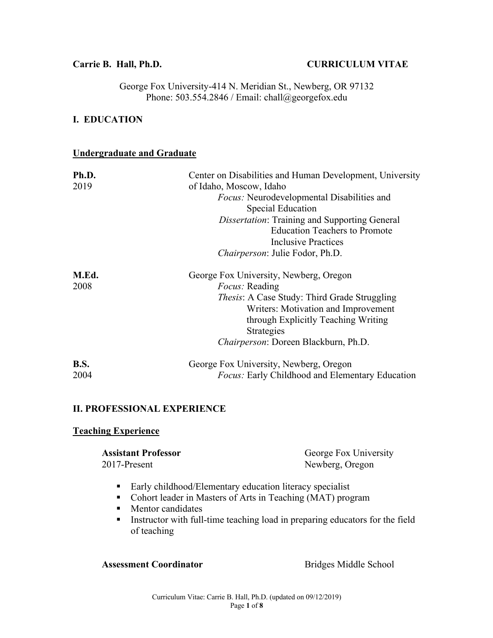### **Carrie B. Hall, Ph.D. CURRICULUM VITAE**

George Fox University-414 N. Meridian St., Newberg, OR 97132 Phone: 503.554.2846 / Email: chall@georgefox.edu

### **I. EDUCATION**

### **Undergraduate and Graduate**

| Ph.D.       | Center on Disabilities and Human Development, University |
|-------------|----------------------------------------------------------|
| 2019        | of Idaho, Moscow, Idaho                                  |
|             | <i>Focus:</i> Neurodevelopmental Disabilities and        |
|             | Special Education                                        |
|             | <b>Dissertation: Training and Supporting General</b>     |
|             | <b>Education Teachers to Promote</b>                     |
|             | <b>Inclusive Practices</b>                               |
|             | Chairperson: Julie Fodor, Ph.D.                          |
| M.Ed.       | George Fox University, Newberg, Oregon                   |
| 2008        | <i>Focus:</i> Reading                                    |
|             | <i>Thesis:</i> A Case Study: Third Grade Struggling      |
|             | Writers: Motivation and Improvement                      |
|             | through Explicitly Teaching Writing                      |
|             | Strategies                                               |
|             | <i>Chairperson: Doreen Blackburn, Ph.D.</i>              |
| <b>B.S.</b> | George Fox University, Newberg, Oregon                   |
| 2004        | <i>Focus:</i> Early Childhood and Elementary Education   |

### **II. PROFESSIONAL EXPERIENCE**

### **Teaching Experience**

| <b>Assistant Professor</b> | George Fox University |
|----------------------------|-----------------------|
| 2017-Present               | Newberg, Oregon       |

- Early childhood/Elementary education literacy specialist
- Cohort leader in Masters of Arts in Teaching (MAT) program
- Mentor candidates
- Instructor with full-time teaching load in preparing educators for the field of teaching

### Assessment Coordinator **Bridges Middle School**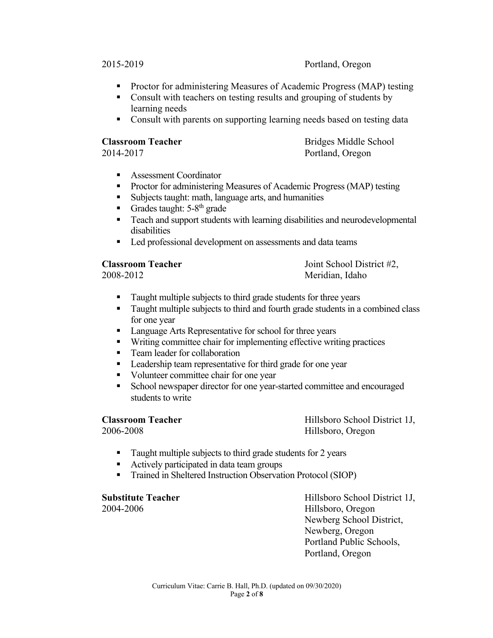2015-2019 Portland, Oregon

- Proctor for administering Measures of Academic Progress (MAP) testing
- Consult with teachers on testing results and grouping of students by learning needs
- Consult with parents on supporting learning needs based on testing data

**Classroom Teacher** Bridges Middle School 2014-2017 Portland, Oregon

- § Assessment Coordinator
- Proctor for administering Measures of Academic Progress (MAP) testing
- Subjects taught: math, language arts, and humanities
- Grades taught:  $5-8^{th}$  grade
- Teach and support students with learning disabilities and neurodevelopmental disabilities
- Led professional development on assessments and data teams

**Classroom Teacher** Joint School District #2, 2008-2012 Meridian, Idaho

- Taught multiple subjects to third grade students for three years
- Taught multiple subjects to third and fourth grade students in a combined class for one year
- Language Arts Representative for school for three years
- Writing committee chair for implementing effective writing practices
- Team leader for collaboration
- Leadership team representative for third grade for one year
- Volunteer committee chair for one year
- School newspaper director for one year-started committee and encouraged students to write

**Classroom Teacher Classroom Teacher Hillsboro School District 1J,** 2006-2008 Hillsboro, Oregon

- Taught multiple subjects to third grade students for 2 years
- Actively participated in data team groups
- Trained in Sheltered Instruction Observation Protocol (SIOP)

**Substitute Teacher Millsboro School District 1J,** 2004-2006 Hillsboro, Oregon Newberg School District, Newberg, Oregon Portland Public Schools, Portland, Oregon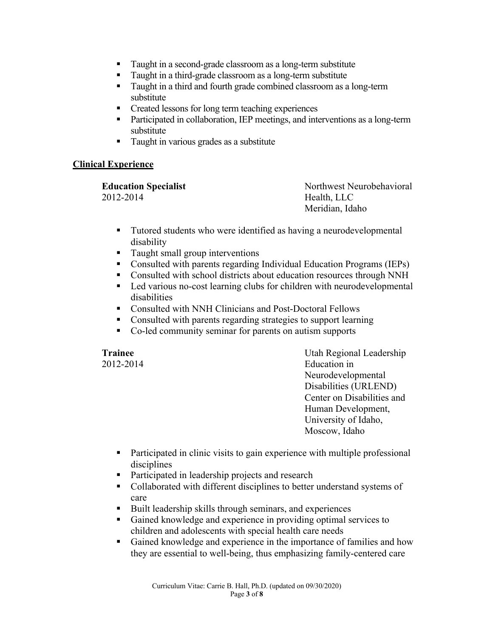- Taught in a second-grade classroom as a long-term substitute
- Taught in a third-grade classroom as a long-term substitute
- Taught in a third and fourth grade combined classroom as a long-term substitute
- Created lessons for long term teaching experiences
- Participated in collaboration, IEP meetings, and interventions as a long-term substitute
- Taught in various grades as a substitute

### **Clinical Experience**

| <b>Education Specialist</b> | Northwest Neurobehavioral |
|-----------------------------|---------------------------|
| 2012-2014                   | Health, LLC               |
|                             | Meridian, Idaho           |

- Tutored students who were identified as having a neurodevelopmental disability
- Taught small group interventions
- Consulted with parents regarding Individual Education Programs (IEPs)
- Consulted with school districts about education resources through NNH
- Led various no-cost learning clubs for children with neurodevelopmental disabilities
- Consulted with NNH Clinicians and Post-Doctoral Fellows
- Consulted with parents regarding strategies to support learning
- Co-led community seminar for parents on autism supports

**Trainee** Utah Regional Leadership 2012-2014 Education in Neurodevelopmental Disabilities (URLEND) Center on Disabilities and Human Development, University of Idaho, Moscow, Idaho

- Participated in clinic visits to gain experience with multiple professional disciplines
- Participated in leadership projects and research
- Collaborated with different disciplines to better understand systems of care
- Built leadership skills through seminars, and experiences
- Gained knowledge and experience in providing optimal services to children and adolescents with special health care needs
- Gained knowledge and experience in the importance of families and how they are essential to well-being, thus emphasizing family-centered care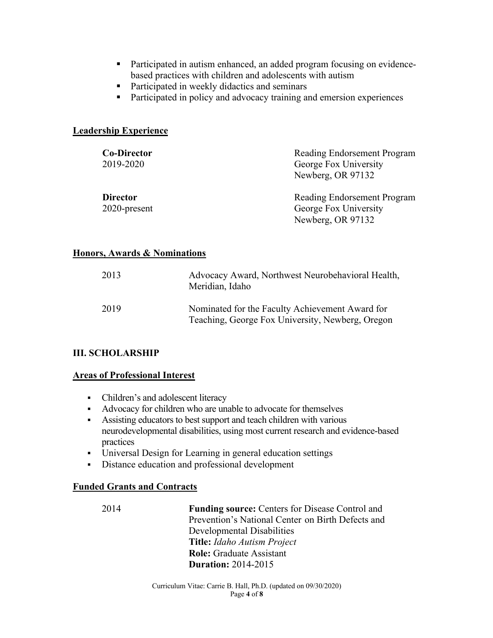- Participated in autism enhanced, an added program focusing on evidencebased practices with children and adolescents with autism
- Participated in weekly didactics and seminars
- Participated in policy and advocacy training and emersion experiences

### **Leadership Experience**

| <b>Co-Director</b><br>2019-2020    | Reading Endorsement Program<br>George Fox University<br>Newberg, OR 97132 |
|------------------------------------|---------------------------------------------------------------------------|
| <b>Director</b><br>$2020$ -present | Reading Endorsement Program<br>George Fox University<br>Newberg, OR 97132 |

### **Honors, Awards & Nominations**

| 2013 | Advocacy Award, Northwest Neurobehavioral Health,<br>Meridian, Idaho                                |
|------|-----------------------------------------------------------------------------------------------------|
| 2019 | Nominated for the Faculty Achievement Award for<br>Teaching, George Fox University, Newberg, Oregon |

### **III. SCHOLARSHIP**

### **Areas of Professional Interest**

- Children's and adolescent literacy
- Advocacy for children who are unable to advocate for themselves
- Assisting educators to best support and teach children with various neurodevelopmental disabilities, using most current research and evidence-based practices
- Universal Design for Learning in general education settings
- Distance education and professional development

### **Funded Grants and Contracts**

2014 **Funding source:** Centers for Disease Control and Prevention's National Center on Birth Defects and Developmental Disabilities **Title:** *Idaho Autism Project* **Role:** Graduate Assistant **Duration:** 2014-2015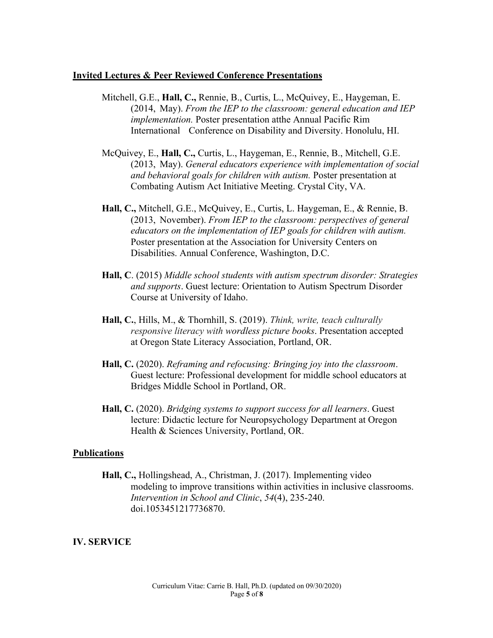### **Invited Lectures & Peer Reviewed Conference Presentations**

- Mitchell, G.E., **Hall, C.,** Rennie, B., Curtis, L., McQuivey, E., Haygeman, E. (2014, May). *From the IEP to the classroom: general education and IEP implementation.* Poster presentation atthe Annual Pacific Rim International Conference on Disability and Diversity. Honolulu, HI.
- McQuivey, E., **Hall, C.,** Curtis, L., Haygeman, E., Rennie, B., Mitchell, G.E. (2013, May). *General educators experience with implementation of social and behavioral goals for children with autism.* Poster presentation at Combating Autism Act Initiative Meeting. Crystal City, VA.
- **Hall, C.,** Mitchell, G.E., McQuivey, E., Curtis, L. Haygeman, E., & Rennie, B. (2013, November). *From IEP to the classroom: perspectives of general educators on the implementation of IEP goals for children with autism.* Poster presentation at the Association for University Centers on Disabilities. Annual Conference, Washington, D.C.
- **Hall, C**. (2015) *Middle school students with autism spectrum disorder: Strategies and supports*. Guest lecture: Orientation to Autism Spectrum Disorder Course at University of Idaho.
- **Hall, C.**, Hills, M., & Thornhill, S. (2019). *Think, write, teach culturally responsive literacy with wordless picture books*. Presentation accepted at Oregon State Literacy Association, Portland, OR.
- **Hall, C.** (2020). *Reframing and refocusing: Bringing joy into the classroom*. Guest lecture: Professional development for middle school educators at Bridges Middle School in Portland, OR.
- **Hall, C.** (2020). *Bridging systems to support success for all learners*. Guest lecture: Didactic lecture for Neuropsychology Department at Oregon Health & Sciences University, Portland, OR.

### **Publications**

**Hall, C.,** Hollingshead, A., Christman, J. (2017). Implementing video modeling to improve transitions within activities in inclusive classrooms. *Intervention in School and Clinic*, *54*(4), 235-240. doi.1053451217736870.

### **IV. SERVICE**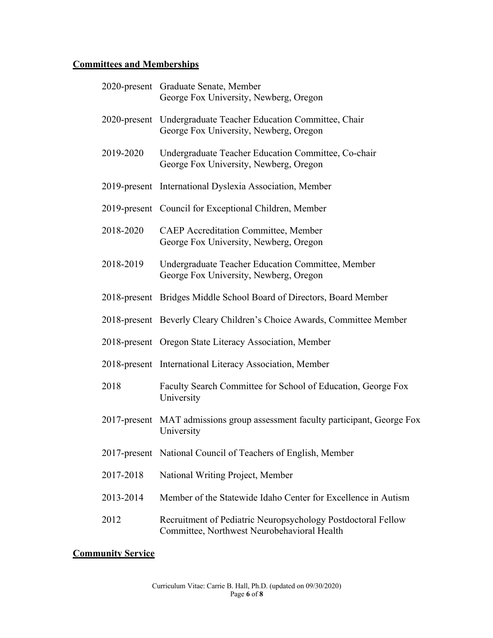# **Committees and Memberships**

|           | 2020-present Graduate Senate, Member<br>George Fox University, Newberg, Oregon                              |
|-----------|-------------------------------------------------------------------------------------------------------------|
|           | 2020-present Undergraduate Teacher Education Committee, Chair<br>George Fox University, Newberg, Oregon     |
| 2019-2020 | Undergraduate Teacher Education Committee, Co-chair<br>George Fox University, Newberg, Oregon               |
|           | 2019-present International Dyslexia Association, Member                                                     |
|           | 2019-present Council for Exceptional Children, Member                                                       |
| 2018-2020 | <b>CAEP</b> Accreditation Committee, Member<br>George Fox University, Newberg, Oregon                       |
| 2018-2019 | Undergraduate Teacher Education Committee, Member<br>George Fox University, Newberg, Oregon                 |
|           | 2018-present Bridges Middle School Board of Directors, Board Member                                         |
|           | 2018-present Beverly Cleary Children's Choice Awards, Committee Member                                      |
|           | 2018-present Oregon State Literacy Association, Member                                                      |
|           | 2018-present International Literacy Association, Member                                                     |
| 2018      | Faculty Search Committee for School of Education, George Fox<br>University                                  |
|           | 2017-present MAT admissions group assessment faculty participant, George Fox<br>University                  |
|           | 2017-present National Council of Teachers of English, Member                                                |
| 2017-2018 | National Writing Project, Member                                                                            |
| 2013-2014 | Member of the Statewide Idaho Center for Excellence in Autism                                               |
| 2012      | Recruitment of Pediatric Neuropsychology Postdoctoral Fellow<br>Committee, Northwest Neurobehavioral Health |

## **Community Service**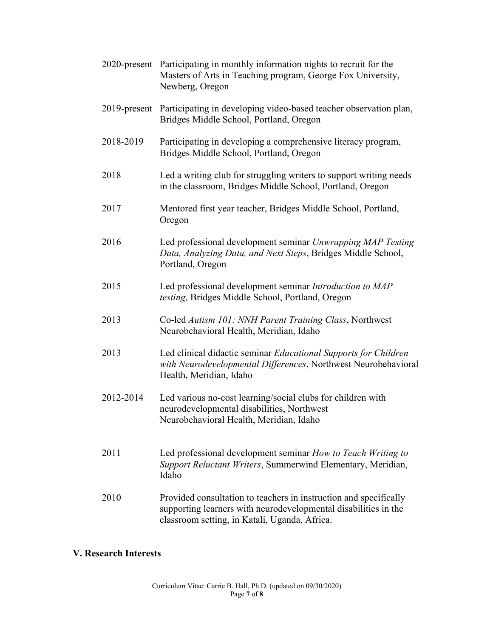|           | 2020-present Participating in monthly information nights to recruit for the<br>Masters of Arts in Teaching program, George Fox University,<br>Newberg, Oregon                         |
|-----------|---------------------------------------------------------------------------------------------------------------------------------------------------------------------------------------|
|           | 2019-present Participating in developing video-based teacher observation plan,<br>Bridges Middle School, Portland, Oregon                                                             |
| 2018-2019 | Participating in developing a comprehensive literacy program,<br>Bridges Middle School, Portland, Oregon                                                                              |
| 2018      | Led a writing club for struggling writers to support writing needs<br>in the classroom, Bridges Middle School, Portland, Oregon                                                       |
| 2017      | Mentored first year teacher, Bridges Middle School, Portland,<br>Oregon                                                                                                               |
| 2016      | Led professional development seminar Unwrapping MAP Testing<br>Data, Analyzing Data, and Next Steps, Bridges Middle School,<br>Portland, Oregon                                       |
| 2015      | Led professional development seminar Introduction to MAP<br>testing, Bridges Middle School, Portland, Oregon                                                                          |
| 2013      | Co-led Autism 101: NNH Parent Training Class, Northwest<br>Neurobehavioral Health, Meridian, Idaho                                                                                    |
| 2013      | Led clinical didactic seminar Educational Supports for Children<br>with Neurodevelopmental Differences, Northwest Neurobehavioral<br>Health, Meridian, Idaho                          |
| 2012-2014 | Led various no-cost learning/social clubs for children with<br>neurodevelopmental disabilities, Northwest<br>Neurobehavioral Health, Meridian, Idaho                                  |
| 2011      | Led professional development seminar How to Teach Writing to<br>Support Reluctant Writers, Summerwind Elementary, Meridian,<br>Idaho                                                  |
| 2010      | Provided consultation to teachers in instruction and specifically<br>supporting learners with neurodevelopmental disabilities in the<br>classroom setting, in Katali, Uganda, Africa. |

## **V. Research Interests**